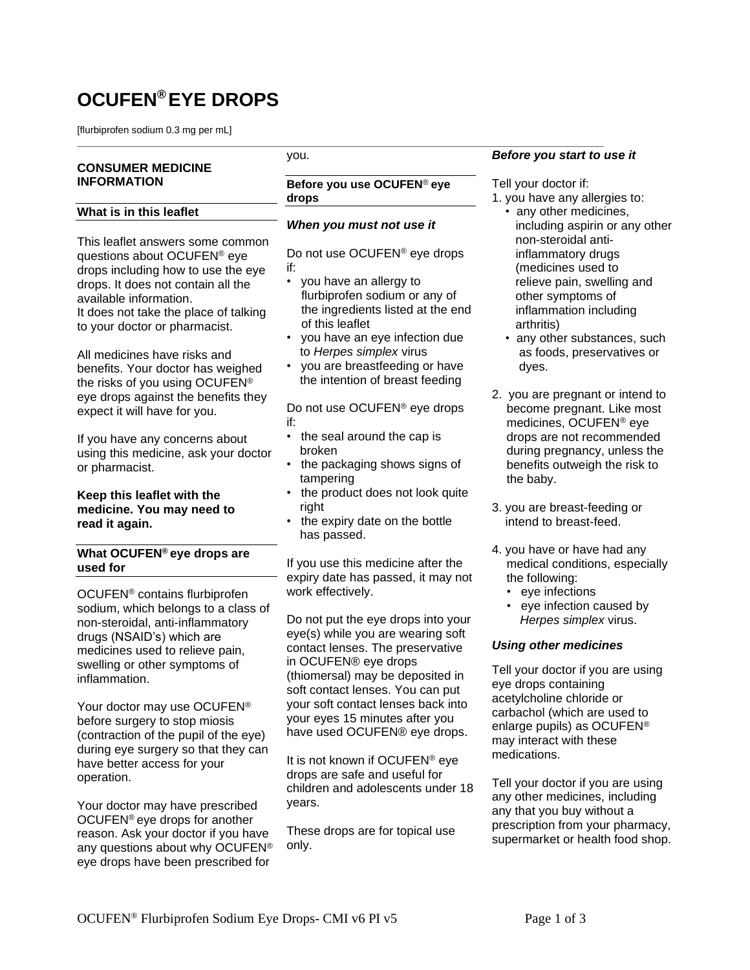# **OCUFEN® EYE DROPS**

[flurbiprofen sodium 0.3 mg per mL]

# **CONSUMER MEDICINE INFORMATION**

#### **What is in this leaflet**

This leaflet answers some common questions about OCUFEN® eye drops including how to use the eye drops. It does not contain all the available information. It does not take the place of talking to your doctor or pharmacist.

All medicines have risks and benefits. Your doctor has weighed the risks of you using OCUFEN® eye drops against the benefits they expect it will have for you.

If you have any concerns about using this medicine, ask your doctor or pharmacist.

# **Keep this leaflet with the medicine. You may need to read it again.**

# **What OCUFEN® eye drops are used for**

OCUFEN® contains flurbiprofen sodium, which belongs to a class of non-steroidal, anti-inflammatory drugs (NSAID's) which are medicines used to relieve pain, swelling or other symptoms of inflammation.

Your doctor may use OCUFEN<sup>®</sup> before surgery to stop miosis (contraction of the pupil of the eye) during eye surgery so that they can have better access for your operation.

Your doctor may have prescribed OCUFEN® eye drops for another reason. Ask your doctor if you have any questions about why OCUFEN® eye drops have been prescribed for

you.

# **Before you use OCUFEN**® **eye drops**

#### *When you must not use it*

**\_\_\_\_\_\_\_\_\_\_\_\_\_\_\_\_\_\_\_\_\_\_\_\_\_\_\_\_\_\_\_\_\_\_\_\_\_\_\_\_\_\_\_\_\_\_\_\_\_\_\_\_\_\_\_\_\_\_\_\_\_\_\_\_\_\_\_\_\_\_\_\_\_\_\_\_\_\_\_\_\_\_\_\_\_\_**

Do not use OCUFEN® eye drops if:

- you have an allergy to flurbiprofen sodium or any of the ingredients listed at the end of this leaflet
- you have an eye infection due to *Herpes simplex* virus
- you are breastfeeding or have the intention of breast feeding

Do not use OCUFEN® eye drops if:

- the seal around the cap is broken
- the packaging shows signs of tampering
- the product does not look quite right
- the expiry date on the bottle has passed.

If you use this medicine after the expiry date has passed, it may not work effectively.

Do not put the eye drops into your eye(s) while you are wearing soft contact lenses. The preservative in OCUFEN® eye drops (thiomersal) may be deposited in soft contact lenses. You can put your soft contact lenses back into your eyes 15 minutes after you have used OCUFEN® eye drops.

It is not known if OCUFEN® eye drops are safe and useful for children and adolescents under 18 years.

These drops are for topical use only.

# *Before you start to use it*

Tell your doctor if:

- 1. you have any allergies to:
	- any other medicines, including aspirin or any other non-steroidal anti inflammatory drugs (medicines used to relieve pain, swelling and other symptoms of inflammation including arthritis)
	- any other substances, such as foods, preservatives or dyes.
- 2. you are pregnant or intend to become pregnant. Like most medicines, OCUFEN® eye drops are not recommended during pregnancy, unless the benefits outweigh the risk to the baby.
- 3. you are breast-feeding or intend to breast-feed.
- 4. you have or have had any medical conditions, especially the following:
	- eye infections
	- eye infection caused by *Herpes simplex* virus.

# *Using other medicines*

Tell your doctor if you are using eye drops containing acetylcholine chloride or carbachol (which are used to enlarge pupils) as OCUFEN® may interact with these medications.

Tell your doctor if you are using any other medicines, including any that you buy without a prescription from your pharmacy, supermarket or health food shop.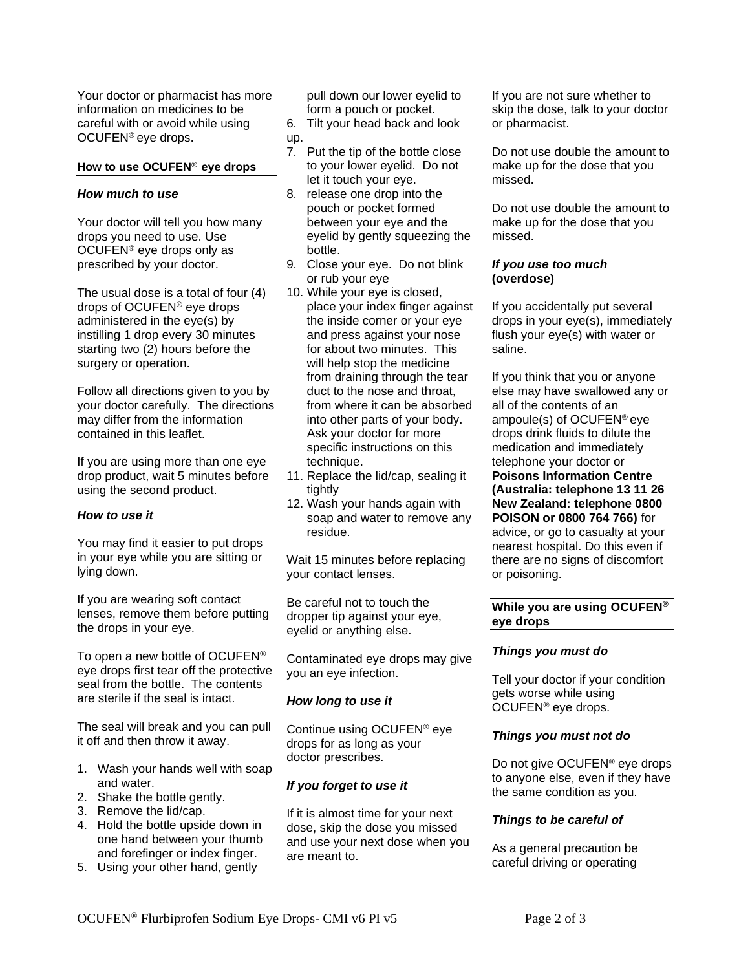Your doctor or pharmacist has more information on medicines to be careful with or avoid while using OCUFEN® eye drops.

#### **How to use OCUFEN**® **eye drops**

#### *How much to use*

Your doctor will tell you how many drops you need to use. Use OCUFEN® eye drops only as prescribed by your doctor.

The usual dose is a total of four (4) drops of OCUFEN® eye drops administered in the eye(s) by instilling 1 drop every 30 minutes starting two (2) hours before the surgery or operation.

Follow all directions given to you by your doctor carefully. The directions may differ from the information contained in this leaflet.

If you are using more than one eye drop product, wait 5 minutes before using the second product.

# *How to use it*

You may find it easier to put drops in your eye while you are sitting or lying down.

If you are wearing soft contact lenses, remove them before putting the drops in your eye.

To open a new bottle of OCUFEN® eye drops first tear off the protective seal from the bottle. The contents are sterile if the seal is intact.

The seal will break and you can pull it off and then throw it away.

- 1. Wash your hands well with soap and water.
- 2. Shake the bottle gently.
- 3. Remove the lid/cap.
- 4. Hold the bottle upside down in one hand between your thumb and forefinger or index finger.
- 5. Using your other hand, gently

 pull down our lower eyelid to form a pouch or pocket.

6. Tilt your head back and look up.

- 7. Put the tip of the bottle close to your lower eyelid. Do not let it touch your eye.
- 8. release one drop into the pouch or pocket formed between your eye and the eyelid by gently squeezing the bottle.
- 9. Close your eye. Do not blink or rub your eye
- 10. While your eye is closed, place your index finger against the inside corner or your eye and press against your nose for about two minutes. This will help stop the medicine from draining through the tear duct to the nose and throat, from where it can be absorbed into other parts of your body. Ask your doctor for more specific instructions on this technique.
- 11. Replace the lid/cap, sealing it tightly
- 12. Wash your hands again with soap and water to remove any residue.

Wait 15 minutes before replacing your contact lenses.

Be careful not to touch the dropper tip against your eye, eyelid or anything else.

Contaminated eye drops may give you an eye infection.

# *How long to use it*

Continue using OCUFEN® eye drops for as long as your doctor prescribes.

# *If you forget to use it*

If it is almost time for your next dose, skip the dose you missed and use your next dose when you are meant to.

If you are not sure whether to skip the dose, talk to your doctor or pharmacist.

Do not use double the amount to make up for the dose that you missed.

Do not use double the amount to make up for the dose that you missed.

# *If you use too much*  **(overdose)**

If you accidentally put several drops in your eye(s), immediately flush your eye(s) with water or saline.

If you think that you or anyone else may have swallowed any or all of the contents of an ampoule(s) of OCUFEN® eye drops drink fluids to dilute the medication and immediately telephone your doctor or **Poisons Information Centre (Australia: telephone 13 11 26 New Zealand: telephone 0800 POISON or 0800 764 766)** for advice, or go to casualty at your nearest hospital. Do this even if there are no signs of discomfort or poisoning.

# **While you are using OCUFEN® eye drops**

# *Things you must do*

Tell your doctor if your condition gets worse while using OCUFEN® eye drops.

# *Things you must not do*

Do not give OCUFEN<sup>®</sup> eye drops to anyone else, even if they have the same condition as you.

# *Things to be careful of*

As a general precaution be careful driving or operating